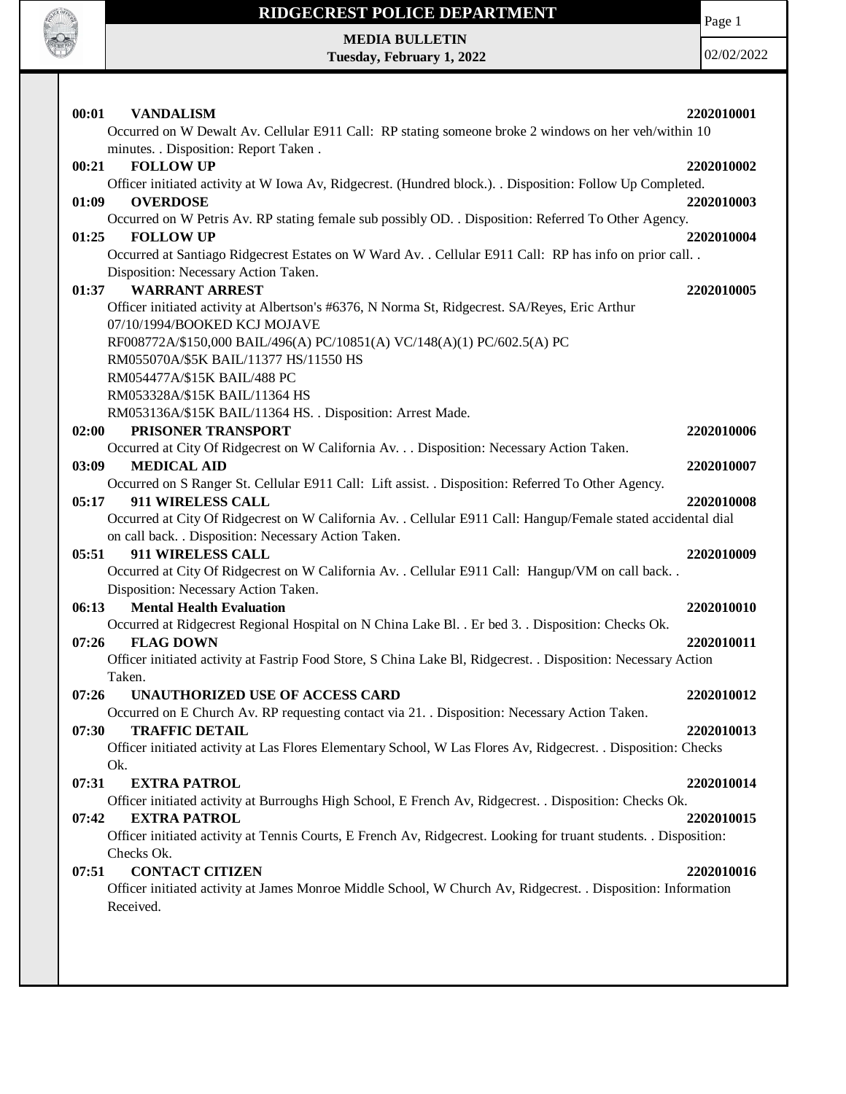

Page 1

**MEDIA BULLETIN Tuesday, February 1, 2022**

02/02/2022

| 00:01<br><b>VANDALISM</b><br>Occurred on W Dewalt Av. Cellular E911 Call: RP stating someone broke 2 windows on her veh/within 10                                     | 2202010001 |
|-----------------------------------------------------------------------------------------------------------------------------------------------------------------------|------------|
| minutes. . Disposition: Report Taken .                                                                                                                                |            |
| 00:21<br><b>FOLLOW UP</b>                                                                                                                                             | 2202010002 |
| Officer initiated activity at W Iowa Av, Ridgecrest. (Hundred block.). . Disposition: Follow Up Completed.<br><b>OVERDOSE</b><br>01:09                                | 2202010003 |
| Occurred on W Petris Av. RP stating female sub possibly OD. . Disposition: Referred To Other Agency.                                                                  |            |
| <b>FOLLOW UP</b><br>01:25                                                                                                                                             | 2202010004 |
| Occurred at Santiago Ridgecrest Estates on W Ward Av. . Cellular E911 Call: RP has info on prior call. .<br>Disposition: Necessary Action Taken.                      |            |
| <b>WARRANT ARREST</b><br>01:37                                                                                                                                        | 2202010005 |
| Officer initiated activity at Albertson's #6376, N Norma St, Ridgecrest. SA/Reyes, Eric Arthur<br>07/10/1994/BOOKED KCJ MOJAVE                                        |            |
| RF008772A/\$150,000 BAIL/496(A) PC/10851(A) VC/148(A)(1) PC/602.5(A) PC                                                                                               |            |
| RM055070A/\$5K BAIL/11377 HS/11550 HS                                                                                                                                 |            |
| RM054477A/\$15K BAIL/488 PC                                                                                                                                           |            |
| RM053328A/\$15K BAIL/11364 HS                                                                                                                                         |            |
| RM053136A/\$15K BAIL/11364 HS. . Disposition: Arrest Made.                                                                                                            |            |
| PRISONER TRANSPORT<br>02:00                                                                                                                                           | 2202010006 |
| Occurred at City Of Ridgecrest on W California Av. Disposition: Necessary Action Taken.<br><b>MEDICAL AID</b><br>03:09                                                | 2202010007 |
| Occurred on S Ranger St. Cellular E911 Call: Lift assist. . Disposition: Referred To Other Agency.                                                                    |            |
| 05:17<br>911 WIRELESS CALL                                                                                                                                            | 2202010008 |
| Occurred at City Of Ridgecrest on W California Av. . Cellular E911 Call: Hangup/Female stated accidental dial<br>on call back. . Disposition: Necessary Action Taken. |            |
| 911 WIRELESS CALL<br>05:51                                                                                                                                            | 2202010009 |
| Occurred at City Of Ridgecrest on W California Av. . Cellular E911 Call: Hangup/VM on call back. .<br>Disposition: Necessary Action Taken.                            |            |
| 06:13<br><b>Mental Health Evaluation</b>                                                                                                                              | 2202010010 |
| Occurred at Ridgecrest Regional Hospital on N China Lake Bl. . Er bed 3. . Disposition: Checks Ok.                                                                    |            |
| 07:26<br><b>FLAG DOWN</b>                                                                                                                                             | 2202010011 |
| Officer initiated activity at Fastrip Food Store, S China Lake Bl, Ridgecrest. . Disposition: Necessary Action<br>Taken.                                              |            |
| <b>UNAUTHORIZED USE OF ACCESS CARD</b><br>07:26                                                                                                                       | 2202010012 |
| Occurred on E Church Av. RP requesting contact via 21. . Disposition: Necessary Action Taken.                                                                         |            |
| <b>TRAFFIC DETAIL</b><br>07:30                                                                                                                                        | 2202010013 |
| Officer initiated activity at Las Flores Elementary School, W Las Flores Av, Ridgecrest. . Disposition: Checks<br>Ok.                                                 |            |
| 07:31<br><b>EXTRA PATROL</b>                                                                                                                                          | 2202010014 |
| Officer initiated activity at Burroughs High School, E French Av, Ridgecrest. . Disposition: Checks Ok.                                                               |            |
| 07:42<br><b>EXTRA PATROL</b><br>Officer initiated activity at Tennis Courts, E French Av, Ridgecrest. Looking for truant students. . Disposition:<br>Checks Ok.       | 2202010015 |
| <b>CONTACT CITIZEN</b><br>07:51                                                                                                                                       | 2202010016 |
| Officer initiated activity at James Monroe Middle School, W Church Av, Ridgecrest. . Disposition: Information<br>Received.                                            |            |
|                                                                                                                                                                       |            |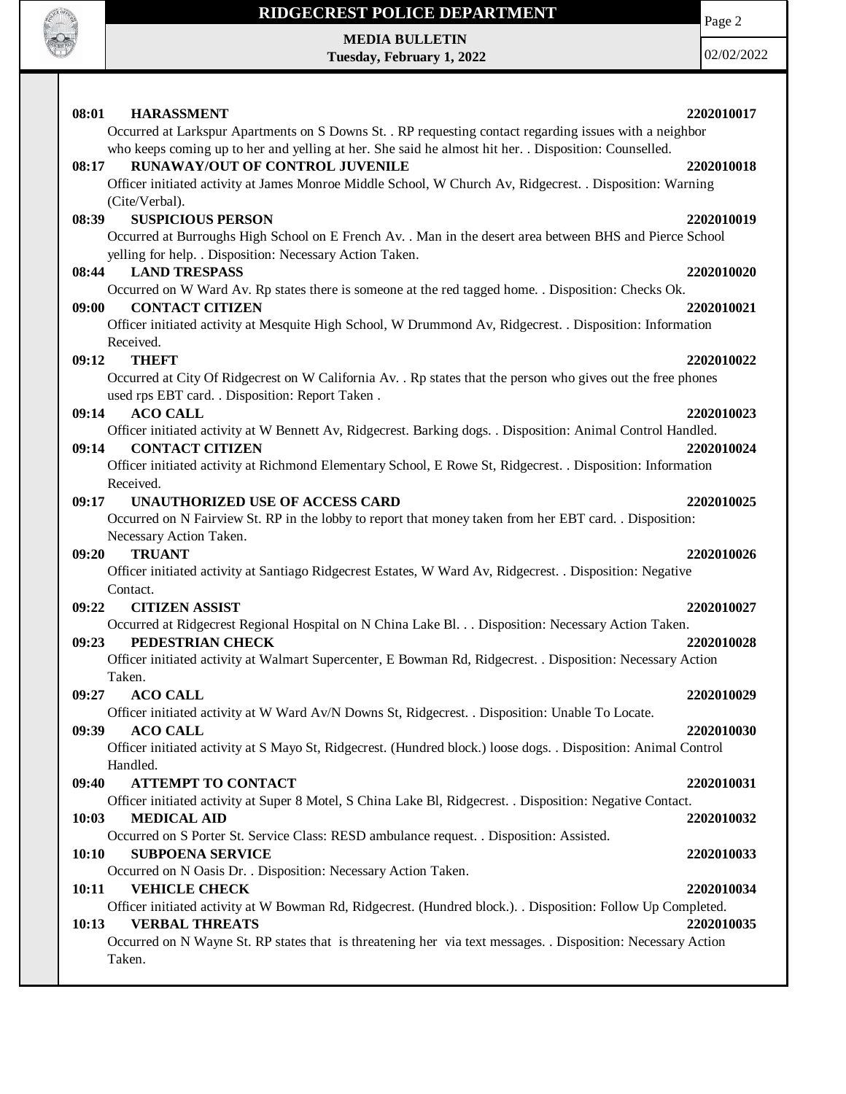

**MEDIA BULLETIN Tuesday, February 1, 2022** Page 2

02/02/2022

| 08:01 | <b>HARASSMENT</b>                                                                                                                            | 2202010017 |
|-------|----------------------------------------------------------------------------------------------------------------------------------------------|------------|
|       | Occurred at Larkspur Apartments on S Downs St. . RP requesting contact regarding issues with a neighbor                                      |            |
|       | who keeps coming up to her and yelling at her. She said he almost hit her. . Disposition: Counselled.                                        |            |
| 08:17 | RUNAWAY/OUT OF CONTROL JUVENILE<br>Officer initiated activity at James Monroe Middle School, W Church Av, Ridgecrest. . Disposition: Warning | 2202010018 |
|       | (Cite/Verbal).                                                                                                                               |            |
| 08:39 | <b>SUSPICIOUS PERSON</b>                                                                                                                     | 2202010019 |
|       | Occurred at Burroughs High School on E French Av. . Man in the desert area between BHS and Pierce School                                     |            |
|       | yelling for help. . Disposition: Necessary Action Taken.                                                                                     |            |
| 08:44 | <b>LAND TRESPASS</b>                                                                                                                         | 2202010020 |
|       | Occurred on W Ward Av. Rp states there is someone at the red tagged home. . Disposition: Checks Ok.                                          |            |
| 09:00 | <b>CONTACT CITIZEN</b>                                                                                                                       | 2202010021 |
|       | Officer initiated activity at Mesquite High School, W Drummond Av, Ridgecrest. . Disposition: Information                                    |            |
|       | Received.                                                                                                                                    |            |
| 09:12 | <b>THEFT</b>                                                                                                                                 | 2202010022 |
|       | Occurred at City Of Ridgecrest on W California Av. . Rp states that the person who gives out the free phones                                 |            |
|       | used rps EBT card. . Disposition: Report Taken.                                                                                              |            |
| 09:14 | <b>ACO CALL</b>                                                                                                                              | 2202010023 |
|       | Officer initiated activity at W Bennett Av, Ridgecrest. Barking dogs. . Disposition: Animal Control Handled.                                 |            |
| 09:14 | <b>CONTACT CITIZEN</b><br>Officer initiated activity at Richmond Elementary School, E Rowe St, Ridgecrest. . Disposition: Information        | 2202010024 |
|       | Received.                                                                                                                                    |            |
| 09:17 | UNAUTHORIZED USE OF ACCESS CARD                                                                                                              | 2202010025 |
|       | Occurred on N Fairview St. RP in the lobby to report that money taken from her EBT card. . Disposition:                                      |            |
|       | Necessary Action Taken.                                                                                                                      |            |
| 09:20 | <b>TRUANT</b>                                                                                                                                | 2202010026 |
|       | Officer initiated activity at Santiago Ridgecrest Estates, W Ward Av, Ridgecrest. . Disposition: Negative                                    |            |
|       | Contact.                                                                                                                                     |            |
| 09:22 | <b>CITIZEN ASSIST</b>                                                                                                                        | 2202010027 |
|       | Occurred at Ridgecrest Regional Hospital on N China Lake Bl. Disposition: Necessary Action Taken.                                            |            |
| 09:23 | PEDESTRIAN CHECK                                                                                                                             | 2202010028 |
|       | Officer initiated activity at Walmart Supercenter, E Bowman Rd, Ridgecrest. . Disposition: Necessary Action                                  |            |
| 09:27 | Taken.<br><b>ACO CALL</b>                                                                                                                    | 2202010029 |
|       | Officer initiated activity at W Ward Av/N Downs St, Ridgecrest. . Disposition: Unable To Locate.                                             |            |
| 09:39 | <b>ACO CALL</b>                                                                                                                              | 2202010030 |
|       | Officer initiated activity at S Mayo St, Ridgecrest. (Hundred block.) loose dogs. . Disposition: Animal Control                              |            |
|       | Handled.                                                                                                                                     |            |
| 09:40 | <b>ATTEMPT TO CONTACT</b>                                                                                                                    | 2202010031 |
|       | Officer initiated activity at Super 8 Motel, S China Lake Bl, Ridgecrest. . Disposition: Negative Contact.                                   |            |
|       |                                                                                                                                              |            |
| 10:03 | <b>MEDICAL AID</b>                                                                                                                           | 2202010032 |
|       | Occurred on S Porter St. Service Class: RESD ambulance request. . Disposition: Assisted.                                                     |            |
| 10:10 | <b>SUBPOENA SERVICE</b>                                                                                                                      | 2202010033 |
|       | Occurred on N Oasis Dr. . Disposition: Necessary Action Taken.                                                                               |            |
| 10:11 | <b>VEHICLE CHECK</b>                                                                                                                         | 2202010034 |
|       | Officer initiated activity at W Bowman Rd, Ridgecrest. (Hundred block.). . Disposition: Follow Up Completed.                                 |            |
| 10:13 | <b>VERBAL THREATS</b>                                                                                                                        | 2202010035 |
|       | Occurred on N Wayne St. RP states that is threatening her via text messages. . Disposition: Necessary Action                                 |            |
|       | Taken.                                                                                                                                       |            |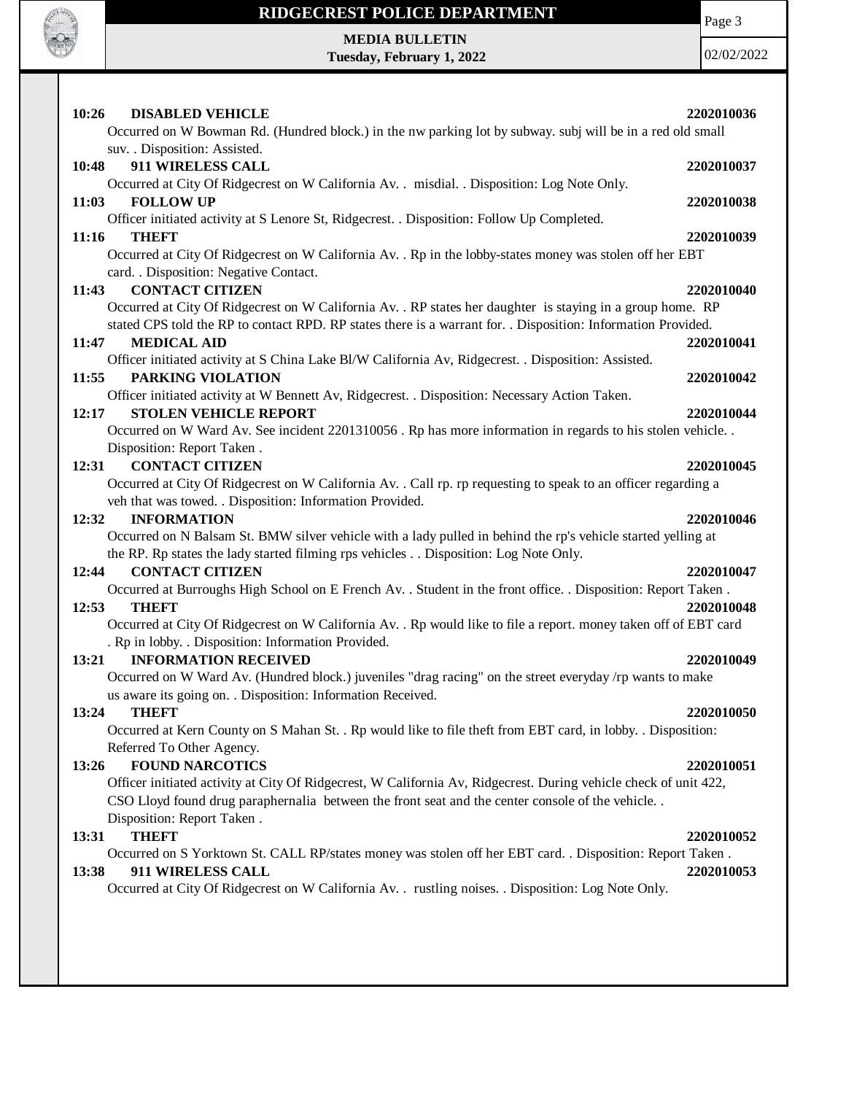

Page 3

**MEDIA BULLETIN Tuesday, February 1, 2022**

02/02/2022

| 10:26<br><b>DISABLED VEHICLE</b>                                                                                       | 2202010036 |
|------------------------------------------------------------------------------------------------------------------------|------------|
| Occurred on W Bowman Rd. (Hundred block.) in the nw parking lot by subway. subj will be in a red old small             |            |
| suv. . Disposition: Assisted.<br>911 WIRELESS CALL                                                                     |            |
| 10:48<br>Occurred at City Of Ridgecrest on W California Av. . misdial. . Disposition: Log Note Only.                   | 2202010037 |
| <b>FOLLOW UP</b><br>11:03                                                                                              | 2202010038 |
| Officer initiated activity at S Lenore St, Ridgecrest. . Disposition: Follow Up Completed.                             |            |
| 11:16<br><b>THEFT</b>                                                                                                  | 2202010039 |
| Occurred at City Of Ridgecrest on W California Av. . Rp in the lobby-states money was stolen off her EBT               |            |
| card. . Disposition: Negative Contact.                                                                                 |            |
| <b>CONTACT CITIZEN</b><br>11:43                                                                                        | 2202010040 |
| Occurred at City Of Ridgecrest on W California Av. . RP states her daughter is staying in a group home. RP             |            |
| stated CPS told the RP to contact RPD. RP states there is a warrant for. . Disposition: Information Provided.          |            |
| <b>MEDICAL AID</b><br>11:47                                                                                            | 2202010041 |
| Officer initiated activity at S China Lake Bl/W California Av, Ridgecrest. . Disposition: Assisted.                    |            |
| PARKING VIOLATION<br>11:55                                                                                             | 2202010042 |
| Officer initiated activity at W Bennett Av, Ridgecrest. . Disposition: Necessary Action Taken.                         |            |
| <b>STOLEN VEHICLE REPORT</b><br>12:17                                                                                  | 2202010044 |
| Occurred on W Ward Av. See incident 2201310056. Rp has more information in regards to his stolen vehicle               |            |
| Disposition: Report Taken.                                                                                             |            |
| <b>CONTACT CITIZEN</b><br>12:31                                                                                        | 2202010045 |
| Occurred at City Of Ridgecrest on W California Av. . Call rp. rp requesting to speak to an officer regarding a         |            |
| veh that was towed. . Disposition: Information Provided.                                                               |            |
| <b>INFORMATION</b><br>12:32                                                                                            | 2202010046 |
| Occurred on N Balsam St. BMW silver vehicle with a lady pulled in behind the rp's vehicle started yelling at           |            |
| the RP. Rp states the lady started filming rps vehicles Disposition: Log Note Only.<br>12:44<br><b>CONTACT CITIZEN</b> |            |
| Occurred at Burroughs High School on E French Av. . Student in the front office. . Disposition: Report Taken.          | 2202010047 |
| <b>THEFT</b><br>12:53                                                                                                  | 2202010048 |
| Occurred at City Of Ridgecrest on W California Av. . Rp would like to file a report. money taken off of EBT card       |            |
| . Rp in lobby. . Disposition: Information Provided.                                                                    |            |
| <b>INFORMATION RECEIVED</b><br>13:21                                                                                   | 2202010049 |
| Occurred on W Ward Av. (Hundred block.) juveniles "drag racing" on the street everyday /rp wants to make               |            |
| us aware its going on. . Disposition: Information Received.                                                            |            |
| 13:24<br>THEFT                                                                                                         | 2202010050 |
| Occurred at Kern County on S Mahan St. . Rp would like to file theft from EBT card, in lobby. . Disposition:           |            |
| Referred To Other Agency.                                                                                              |            |
| 13:26<br><b>FOUND NARCOTICS</b>                                                                                        | 2202010051 |
| Officer initiated activity at City Of Ridgecrest, W California Av, Ridgecrest. During vehicle check of unit 422,       |            |
| CSO Lloyd found drug paraphernalia between the front seat and the center console of the vehicle                        |            |
| Disposition: Report Taken.                                                                                             |            |
| <b>THEFT</b><br>13:31                                                                                                  | 2202010052 |
| Occurred on S Yorktown St. CALL RP/states money was stolen off her EBT card. . Disposition: Report Taken.              |            |
| 911 WIRELESS CALL<br>13:38                                                                                             | 2202010053 |
| Occurred at City Of Ridgecrest on W California Av. . rustling noises. . Disposition: Log Note Only.                    |            |
|                                                                                                                        |            |
|                                                                                                                        |            |
|                                                                                                                        |            |
|                                                                                                                        |            |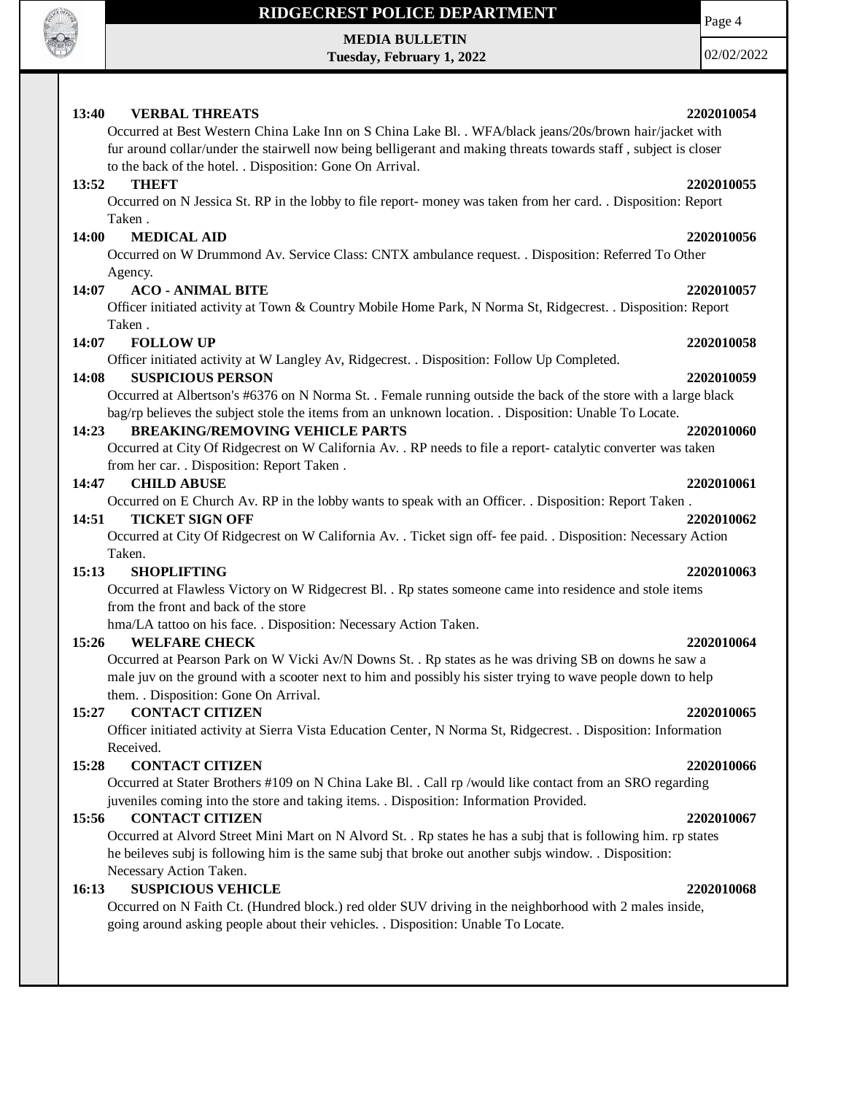

**MEDIA BULLETIN Tuesday, February 1, 2022** Page 4

02/02/2022

### **13:40 VERBAL THREATS 2202010054** Occurred at Best Western China Lake Inn on S China Lake Bl. . WFA/black jeans/20s/brown hair/jacket with fur around collar/under the stairwell now being belligerant and making threats towards staff , subject is closer to the back of the hotel. . Disposition: Gone On Arrival. **13:52 THEFT** 2202010055 Occurred on N Jessica St. RP in the lobby to file report- money was taken from her card. . Disposition: Report Taken . **14:00 MEDICAL AID 2202010056** Occurred on W Drummond Av. Service Class: CNTX ambulance request. . Disposition: Referred To Other Agency. **14:07 ACO - ANIMAL BITE 2202010057** Officer initiated activity at Town & Country Mobile Home Park, N Norma St, Ridgecrest. . Disposition: Report Taken . **14:07 FOLLOW UP 2202010058** Officer initiated activity at W Langley Av, Ridgecrest. . Disposition: Follow Up Completed. **14:08 SUSPICIOUS PERSON 2202010059** Occurred at Albertson's #6376 on N Norma St. . Female running outside the back of the store with a large black bag/rp believes the subject stole the items from an unknown location. . Disposition: Unable To Locate. **14:23 BREAKING/REMOVING VEHICLE PARTS 2202010060** Occurred at City Of Ridgecrest on W California Av. . RP needs to file a report- catalytic converter was taken from her car. . Disposition: Report Taken . **14:47 CHILD ABUSE 2202010061** Occurred on E Church Av. RP in the lobby wants to speak with an Officer. . Disposition: Report Taken . **14:51 TICKET SIGN OFF 2202010062** Occurred at City Of Ridgecrest on W California Av. . Ticket sign off- fee paid. . Disposition: Necessary Action Taken. **15:13 SHOPLIFTING 2202010063** Occurred at Flawless Victory on W Ridgecrest Bl. . Rp states someone came into residence and stole items from the front and back of the store hma/LA tattoo on his face. . Disposition: Necessary Action Taken. **15:26 WELFARE CHECK 2202010064** Occurred at Pearson Park on W Vicki Av/N Downs St. . Rp states as he was driving SB on downs he saw a male juv on the ground with a scooter next to him and possibly his sister trying to wave people down to help them. . Disposition: Gone On Arrival. **15:27 CONTACT CITIZEN 2202010065** Officer initiated activity at Sierra Vista Education Center, N Norma St, Ridgecrest. . Disposition: Information Received. **15:28 CONTACT CITIZEN 2202010066** Occurred at Stater Brothers #109 on N China Lake Bl. . Call rp /would like contact from an SRO regarding juveniles coming into the store and taking items. . Disposition: Information Provided. **15:56 CONTACT CITIZEN 2202010067** Occurred at Alvord Street Mini Mart on N Alvord St. . Rp states he has a subj that is following him. rp states he beileves subj is following him is the same subj that broke out another subjs window. . Disposition:

#### **16:13 SUSPICIOUS VEHICLE 2202010068**

Occurred on N Faith Ct. (Hundred block.) red older SUV driving in the neighborhood with 2 males inside, going around asking people about their vehicles. . Disposition: Unable To Locate.

Necessary Action Taken.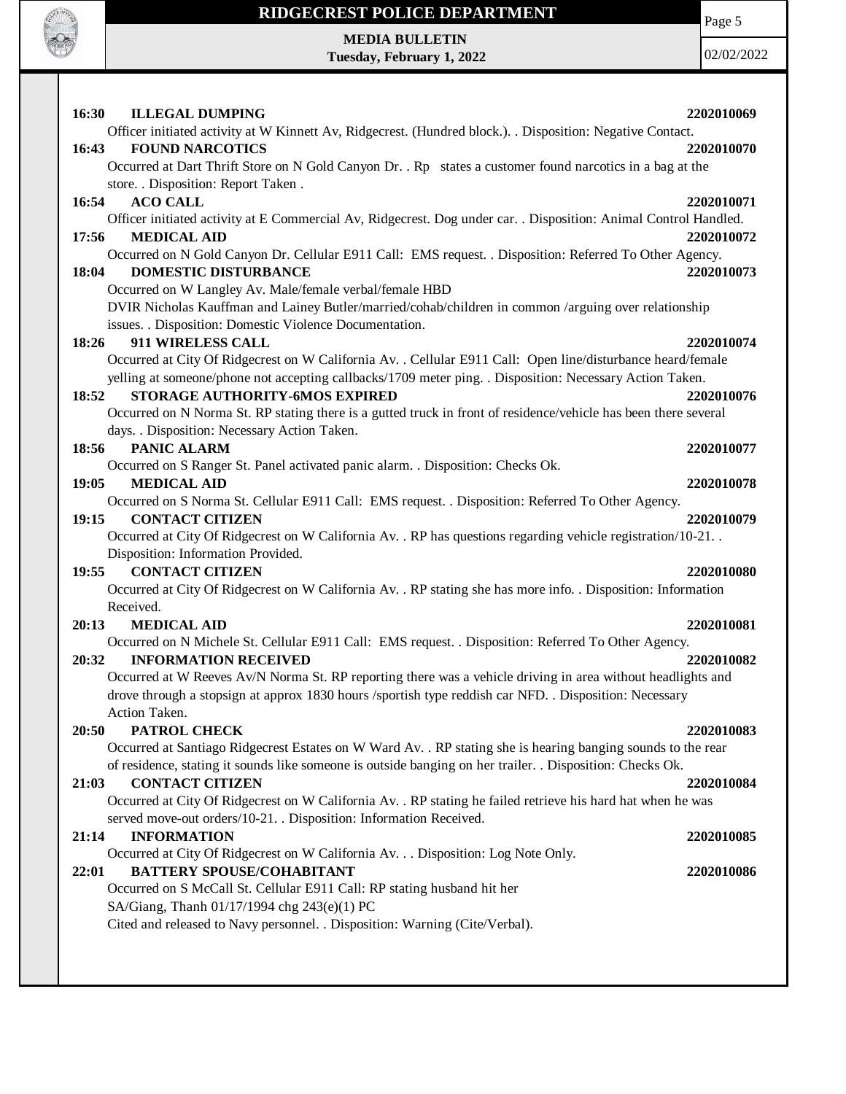

## **RIDGECREST POLICE DEPARTMENT MEDIA BULLETIN**

**Tuesday, February 1, 2022**

Page 5

02/02/2022

**16:30 ILLEGAL DUMPING 2202010069** Officer initiated activity at W Kinnett Av, Ridgecrest. (Hundred block.). . Disposition: Negative Contact. **16:43 FOUND NARCOTICS 2202010070** Occurred at Dart Thrift Store on N Gold Canyon Dr. . Rp states a customer found narcotics in a bag at the store. . Disposition: Report Taken . **16:54 ACO CALL 2202010071** Officer initiated activity at E Commercial Av, Ridgecrest. Dog under car. . Disposition: Animal Control Handled. **17:56 MEDICAL AID 2202010072** Occurred on N Gold Canyon Dr. Cellular E911 Call: EMS request. . Disposition: Referred To Other Agency. **18:04 DOMESTIC DISTURBANCE 2202010073** Occurred on W Langley Av. Male/female verbal/female HBD DVIR Nicholas Kauffman and Lainey Butler/married/cohab/children in common /arguing over relationship issues. . Disposition: Domestic Violence Documentation. **18:26 911 WIRELESS CALL 2202010074** Occurred at City Of Ridgecrest on W California Av. . Cellular E911 Call: Open line/disturbance heard/female yelling at someone/phone not accepting callbacks/1709 meter ping. . Disposition: Necessary Action Taken. **18:52 STORAGE AUTHORITY-6MOS EXPIRED 2202010076** Occurred on N Norma St. RP stating there is a gutted truck in front of residence/vehicle has been there several days. . Disposition: Necessary Action Taken. **18:56 PANIC ALARM 2202010077** Occurred on S Ranger St. Panel activated panic alarm. . Disposition: Checks Ok. **19:05 MEDICAL AID 2202010078** Occurred on S Norma St. Cellular E911 Call: EMS request. . Disposition: Referred To Other Agency. **19:15 CONTACT CITIZEN 2202010079** Occurred at City Of Ridgecrest on W California Av. . RP has questions regarding vehicle registration/10-21. . Disposition: Information Provided. **19:55 CONTACT CITIZEN 2202010080** Occurred at City Of Ridgecrest on W California Av. . RP stating she has more info. . Disposition: Information Received. **20:13 MEDICAL AID 2202010081** Occurred on N Michele St. Cellular E911 Call: EMS request. . Disposition: Referred To Other Agency. **20:32 INFORMATION RECEIVED 2202010082** Occurred at W Reeves Av/N Norma St. RP reporting there was a vehicle driving in area without headlights and drove through a stopsign at approx 1830 hours /sportish type reddish car NFD. . Disposition: Necessary Action Taken. **20:50 PATROL CHECK 2202010083** Occurred at Santiago Ridgecrest Estates on W Ward Av. . RP stating she is hearing banging sounds to the rear of residence, stating it sounds like someone is outside banging on her trailer. . Disposition: Checks Ok. **21:03 CONTACT CITIZEN 2202010084** Occurred at City Of Ridgecrest on W California Av. . RP stating he failed retrieve his hard hat when he was served move-out orders/10-21. . Disposition: Information Received. **21:14 INFORMATION 2202010085** Occurred at City Of Ridgecrest on W California Av. . . Disposition: Log Note Only. **22:01 BATTERY SPOUSE/COHABITANT 2202010086** Occurred on S McCall St. Cellular E911 Call: RP stating husband hit her SA/Giang, Thanh 01/17/1994 chg 243(e)(1) PC Cited and released to Navy personnel. . Disposition: Warning (Cite/Verbal).